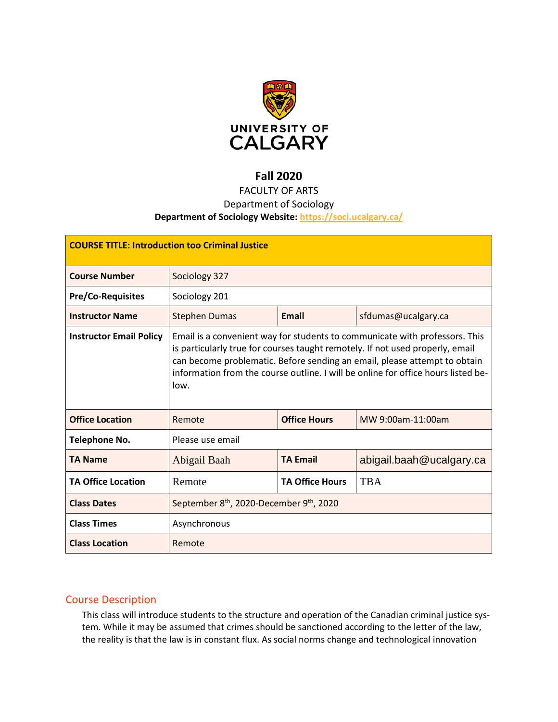

# **Fall 2020**

# FACULTY OF ARTS

## Department of Sociology

### **Department of Sociology Website: <https://soci.ucalgary.ca/>**

| <b>COURSE TITLE: Introduction too Criminal Justice</b> |                                                                                                                                                                                                                                                                                                                                        |                        |                          |  |  |
|--------------------------------------------------------|----------------------------------------------------------------------------------------------------------------------------------------------------------------------------------------------------------------------------------------------------------------------------------------------------------------------------------------|------------------------|--------------------------|--|--|
| <b>Course Number</b>                                   | Sociology 327                                                                                                                                                                                                                                                                                                                          |                        |                          |  |  |
| <b>Pre/Co-Requisites</b>                               | Sociology 201                                                                                                                                                                                                                                                                                                                          |                        |                          |  |  |
| <b>Instructor Name</b>                                 | <b>Stephen Dumas</b>                                                                                                                                                                                                                                                                                                                   | <b>Email</b>           | sfdumas@ucalgary.ca      |  |  |
| <b>Instructor Email Policy</b>                         | Email is a convenient way for students to communicate with professors. This<br>is particularly true for courses taught remotely. If not used properly, email<br>can become problematic. Before sending an email, please attempt to obtain<br>information from the course outline. I will be online for office hours listed be-<br>low. |                        |                          |  |  |
| <b>Office Location</b>                                 | Remote                                                                                                                                                                                                                                                                                                                                 | <b>Office Hours</b>    | MW 9:00am-11:00am        |  |  |
| <b>Telephone No.</b>                                   | Please use email                                                                                                                                                                                                                                                                                                                       |                        |                          |  |  |
| <b>TA Name</b>                                         | Abigail Baah                                                                                                                                                                                                                                                                                                                           | <b>TA Email</b>        | abigail.baah@ucalgary.ca |  |  |
| <b>TA Office Location</b>                              | Remote                                                                                                                                                                                                                                                                                                                                 | <b>TA Office Hours</b> | <b>TBA</b>               |  |  |
| <b>Class Dates</b>                                     | September 8 <sup>th</sup> , 2020-December 9 <sup>th</sup> , 2020                                                                                                                                                                                                                                                                       |                        |                          |  |  |
| <b>Class Times</b>                                     | Asynchronous                                                                                                                                                                                                                                                                                                                           |                        |                          |  |  |
| <b>Class Location</b>                                  | Remote                                                                                                                                                                                                                                                                                                                                 |                        |                          |  |  |

## Course Description

This class will introduce students to the structure and operation of the Canadian criminal justice system. While it may be assumed that crimes should be sanctioned according to the letter of the law, the reality is that the law is in constant flux. As social norms change and technological innovation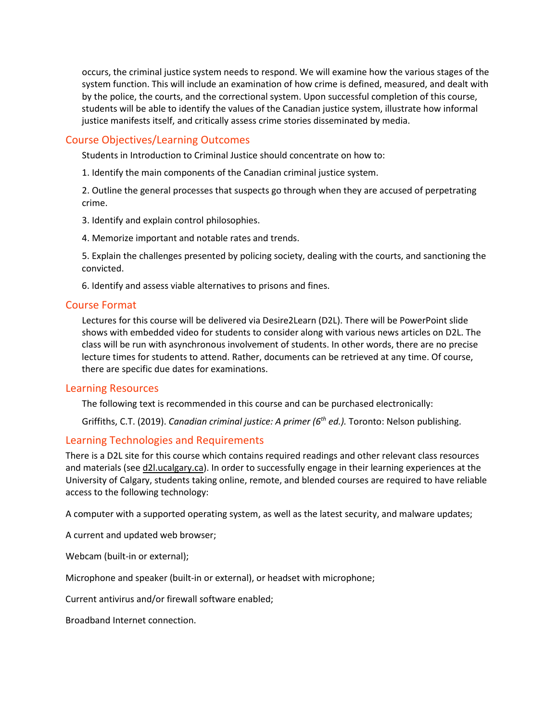occurs, the criminal justice system needs to respond. We will examine how the various stages of the system function. This will include an examination of how crime is defined, measured, and dealt with by the police, the courts, and the correctional system. Upon successful completion of this course, students will be able to identify the values of the Canadian justice system, illustrate how informal justice manifests itself, and critically assess crime stories disseminated by media.

## Course Objectives/Learning Outcomes

Students in Introduction to Criminal Justice should concentrate on how to:

1. Identify the main components of the Canadian criminal justice system.

2. Outline the general processes that suspects go through when they are accused of perpetrating crime.

3. Identify and explain control philosophies.

4. Memorize important and notable rates and trends.

5. Explain the challenges presented by policing society, dealing with the courts, and sanctioning the convicted.

6. Identify and assess viable alternatives to prisons and fines.

#### Course Format

Lectures for this course will be delivered via Desire2Learn (D2L). There will be PowerPoint slide shows with embedded video for students to consider along with various news articles on D2L. The class will be run with asynchronous involvement of students. In other words, there are no precise lecture times for students to attend. Rather, documents can be retrieved at any time. Of course, there are specific due dates for examinations.

#### Learning Resources

The following text is recommended in this course and can be purchased electronically:

Griffiths, C.T. (2019). *Canadian criminal justice: A primer (6th ed.).* Toronto: Nelson publishing.

#### Learning Technologies and Requirements

There is a D2L site for this course which contains required readings and other relevant class resources and materials (see [d2l.ucalgary.ca\)](http://d2l.ucalgary.ca/). In order to successfully engage in their learning experiences at the University of Calgary, students taking online, remote, and blended courses are required to have reliable access to the following technology:

A computer with a supported operating system, as well as the latest security, and malware updates;

A current and updated web browser;

Webcam (built-in or external);

Microphone and speaker (built-in or external), or headset with microphone;

Current antivirus and/or firewall software enabled;

Broadband Internet connection.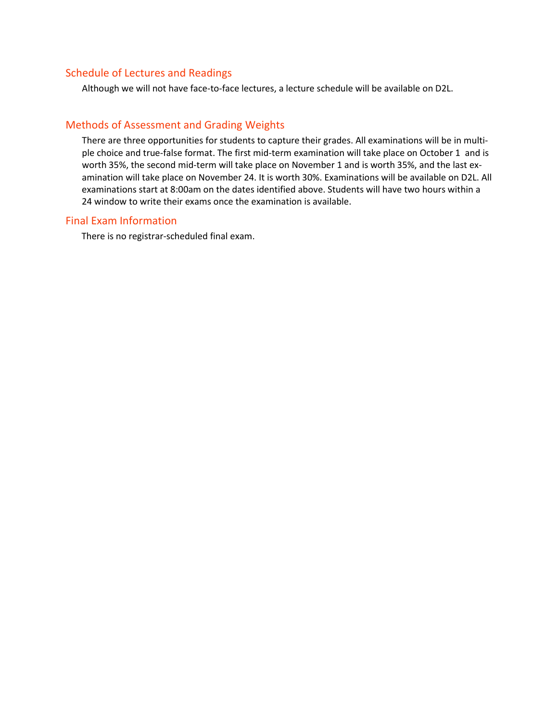## Schedule of Lectures and Readings

Although we will not have face-to-face lectures, a lecture schedule will be available on D2L.

## Methods of Assessment and Grading Weights

There are three opportunities for students to capture their grades. All examinations will be in multiple choice and true-false format. The first mid-term examination will take place on October 1 and is worth 35%, the second mid-term will take place on November 1 and is worth 35%, and the last examination will take place on November 24. It is worth 30%. Examinations will be available on D2L. All examinations start at 8:00am on the dates identified above. Students will have two hours within a 24 window to write their exams once the examination is available.

### Final Exam Information

There is no registrar-scheduled final exam.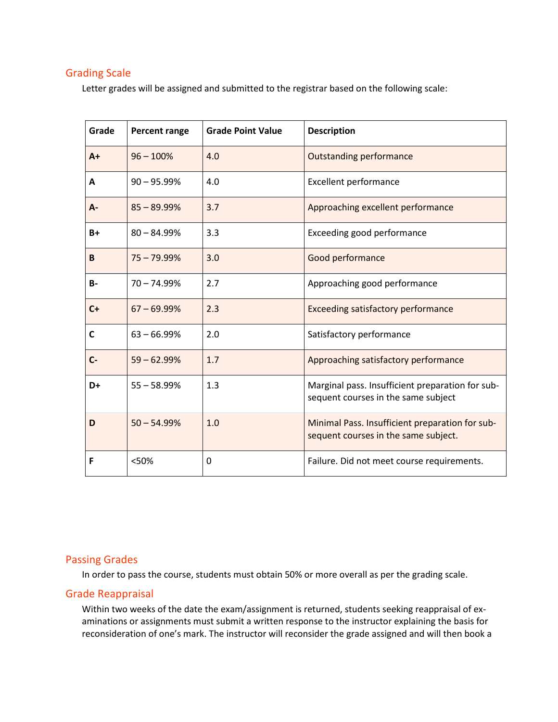## Grading Scale

Letter grades will be assigned and submitted to the registrar based on the following scale:

| Grade | Percent range  | <b>Grade Point Value</b> | <b>Description</b>                                                                      |
|-------|----------------|--------------------------|-----------------------------------------------------------------------------------------|
| $A+$  | $96 - 100%$    | 4.0                      | <b>Outstanding performance</b>                                                          |
| A     | $90 - 95.99%$  | 4.0                      | <b>Excellent performance</b>                                                            |
| A-    | $85 - 89.99%$  | 3.7                      | Approaching excellent performance                                                       |
| $B+$  | $80 - 84.99%$  | 3.3                      | Exceeding good performance                                                              |
| B     | $75 - 79.99%$  | 3.0                      | Good performance                                                                        |
| $B -$ | $70 - 74.99%$  | 2.7                      | Approaching good performance                                                            |
| $C+$  | $67 - 69.99\%$ | 2.3                      | <b>Exceeding satisfactory performance</b>                                               |
| C     | $63 - 66.99%$  | 2.0                      | Satisfactory performance                                                                |
| $C -$ | $59 - 62.99%$  | 1.7                      | Approaching satisfactory performance                                                    |
| D+    | $55 - 58.99%$  | 1.3                      | Marginal pass. Insufficient preparation for sub-<br>sequent courses in the same subject |
| D     | $50 - 54.99%$  | 1.0                      | Minimal Pass. Insufficient preparation for sub-<br>sequent courses in the same subject. |
| F     | <50%           | 0                        | Failure. Did not meet course requirements.                                              |

## Passing Grades

In order to pass the course, students must obtain 50% or more overall as per the grading scale.

## Grade Reappraisal

Within two weeks of the date the exam/assignment is returned, students seeking reappraisal of examinations or assignments must submit a written response to the instructor explaining the basis for reconsideration of one's mark. The instructor will reconsider the grade assigned and will then book a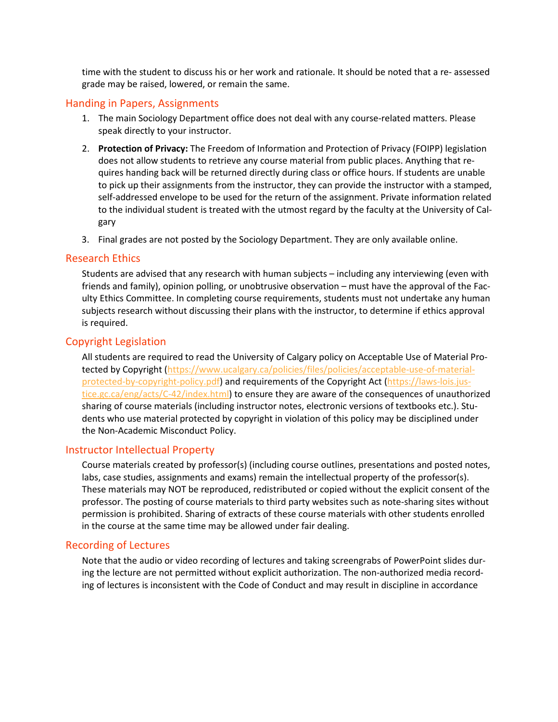time with the student to discuss his or her work and rationale. It should be noted that a re- assessed grade may be raised, lowered, or remain the same.

#### Handing in Papers, Assignments

- 1. The main Sociology Department office does not deal with any course-related matters. Please speak directly to your instructor.
- 2. **Protection of Privacy:** The Freedom of Information and Protection of Privacy (FOIPP) legislation does not allow students to retrieve any course material from public places. Anything that requires handing back will be returned directly during class or office hours. If students are unable to pick up their assignments from the instructor, they can provide the instructor with a stamped, self-addressed envelope to be used for the return of the assignment. Private information related to the individual student is treated with the utmost regard by the faculty at the University of Calgary
- 3. Final grades are not posted by the Sociology Department. They are only available online.

#### Research Ethics

Students are advised that any research with human subjects – including any interviewing (even with friends and family), opinion polling, or unobtrusive observation – must have the approval of the Faculty Ethics Committee. In completing course requirements, students must not undertake any human subjects research without discussing their plans with the instructor, to determine if ethics approval is required.

### Copyright Legislation

All students are required to read the University of Calgary policy on Acceptable Use of Material Pro-tected by Copyright [\(https://www.ucalgary.ca/policies/files/policies/acceptable-use-of-material](https://www.ucalgary.ca/policies/files/policies/acceptable-use-of-material-protected-by-copyright-policy.pdf)[protected-by-copyright-policy.pdf\)](https://www.ucalgary.ca/policies/files/policies/acceptable-use-of-material-protected-by-copyright-policy.pdf) and requirements of the Copyright Act [\(https://laws-lois.jus](https://laws-lois.justice.gc.ca/eng/acts/C-42/index.html)[tice.gc.ca/eng/acts/C-42/index.html\)](https://laws-lois.justice.gc.ca/eng/acts/C-42/index.html) to ensure they are aware of the consequences of unauthorized sharing of course materials (including instructor notes, electronic versions of textbooks etc.). Students who use material protected by copyright in violation of this policy may be disciplined under the Non-Academic Misconduct Policy.

#### Instructor Intellectual Property

Course materials created by professor(s) (including course outlines, presentations and posted notes, labs, case studies, assignments and exams) remain the intellectual property of the professor(s). These materials may NOT be reproduced, redistributed or copied without the explicit consent of the professor. The posting of course materials to third party websites such as note-sharing sites without permission is prohibited. Sharing of extracts of these course materials with other students enrolled in the course at the same time may be allowed under fair dealing.

#### Recording of Lectures

Note that the audio or video recording of lectures and taking screengrabs of PowerPoint slides during the lecture are not permitted without explicit authorization. The non-authorized media recording of lectures is inconsistent with the Code of Conduct and may result in discipline in accordance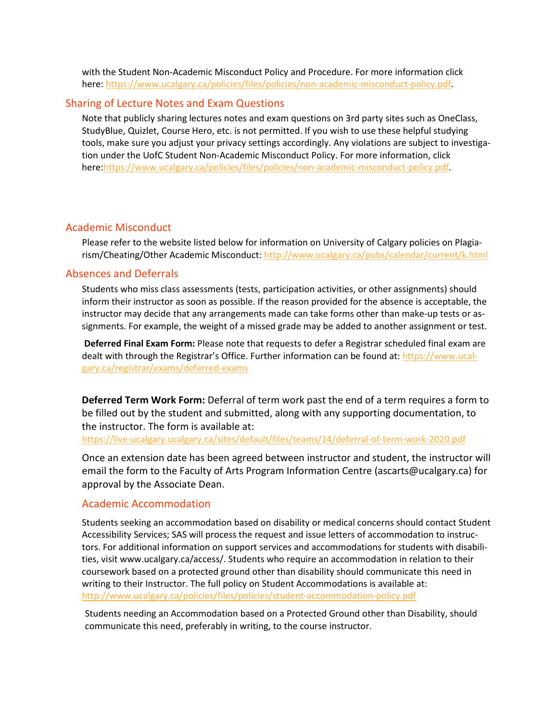with the Student Non-Academic Misconduct Policy and Procedure. For more information click here: [https://www.ucalgary.ca/policies/files/policies/non-academic-misconduct-policy.pdf.](https://www.ucalgary.ca/policies/files/policies/non-academic-misconduct-policy.pdf)

#### Sharing of Lecture Notes and Exam Questions

Note that publicly sharing lectures notes and exam questions on 3rd party sites such as OneClass, StudyBlue, Quizlet, Course Hero, etc. is not permitted. If you wish to use these helpful studying tools, make sure you adjust your privacy settings accordingly. Any violations are subject to investigation under the UofC Student Non-Academic Misconduct Policy. For more information, click here[:https://www.ucalgary.ca/policies/files/policies/non-academic-misconduct-policy.pdf.](https://www.ucalgary.ca/policies/files/policies/non-academic-misconduct-policy.pdf)

#### Academic Misconduct

Please refer to the website listed below for information on University of Calgary policies on Plagiarism/Cheating/Other Academic Misconduct: <http://www.ucalgary.ca/pubs/calendar/current/k.html>

#### Absences and Deferrals

Students who miss class assessments (tests, participation activities, or other assignments) should inform their instructor as soon as possible. If the reason provided for the absence is acceptable, the instructor may decide that any arrangements made can take forms other than make-up tests or assignments. For example, the weight of a missed grade may be added to another assignment or test.

**Deferred Final Exam Form:** Please note that requests to defer a Registrar scheduled final exam are dealt with through the Registrar's Office. Further information can be found at: [https://www.ucal](https://www.ucalgary.ca/registrar/exams/deferred-exams)[gary.ca/registrar/exams/deferred-exams](https://www.ucalgary.ca/registrar/exams/deferred-exams)

**Deferred Term Work Form:** Deferral of term work past the end of a term requires a form to be filled out by the student and submitted, along with any supporting documentation, to the instructor. The form is available at:

<https://live-ucalgary.ucalgary.ca/sites/default/files/teams/14/deferral-of-term-work-2020.pdf>

Once an extension date has been agreed between instructor and student, the instructor will email the form to the Faculty of Arts Program Information Centre (ascarts@ucalgary.ca) for approval by the Associate Dean.

#### Academic Accommodation

Students seeking an accommodation based on disability or medical concerns should contact Student Accessibility Services; SAS will process the request and issue letters of accommodation to instructors. For additional information on support services and accommodations for students with disabilities, visit www.ucalgary.ca/access/. Students who require an accommodation in relation to their coursework based on a protected ground other than disability should communicate this need in writing to their Instructor. The full policy on Student Accommodations is available at: <http://www.ucalgary.ca/policies/files/policies/student-accommodation-policy.pdf>

Students needing an Accommodation based on a Protected Ground other than Disability, should communicate this need, preferably in writing, to the course instructor.